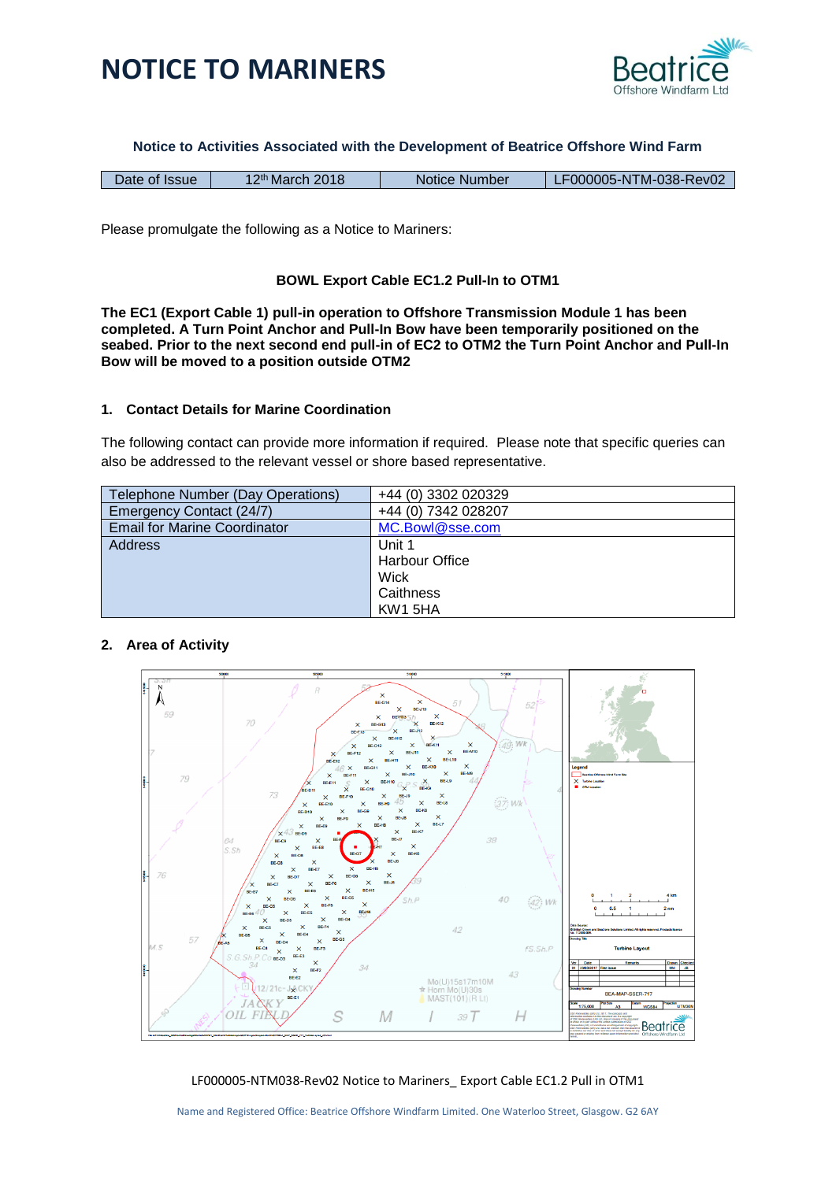



**Notice to Activities Associated with the Development of Beatrice Offshore Wind Farm**

| Date of Issue | 12 <sup>th</sup> March 2018 | Notice Number | LF000005-NTM-038-Rev02 |
|---------------|-----------------------------|---------------|------------------------|
|---------------|-----------------------------|---------------|------------------------|

Please promulgate the following as a Notice to Mariners:

## **BOWL Export Cable EC1.2 Pull-In to OTM1**

**The EC1 (Export Cable 1) pull-in operation to Offshore Transmission Module 1 has been completed. A Turn Point Anchor and Pull-In Bow have been temporarily positioned on the seabed. Prior to the next second end pull-in of EC2 to OTM2 the Turn Point Anchor and Pull-In Bow will be moved to a position outside OTM2**

## **1. Contact Details for Marine Coordination**

The following contact can provide more information if required. Please note that specific queries can also be addressed to the relevant vessel or shore based representative.

| Telephone Number (Day Operations)   | +44 (0) 3302 020329 |
|-------------------------------------|---------------------|
| Emergency Contact (24/7)            | +44 (0) 7342 028207 |
| <b>Email for Marine Coordinator</b> | MC.Bowl@sse.com     |
| Address                             | Unit 1              |
|                                     | Harbour Office      |
|                                     | Wick                |
|                                     | Caithness           |
|                                     | KW1 5HA             |

## **2. Area of Activity**



LF000005-NTM038-Rev02 Notice to Mariners\_ Export Cable EC1.2 Pull in OTM1

Name and Registered Office: Beatrice Offshore Windfarm Limited. One Waterloo Street, Glasgow. G2 6AY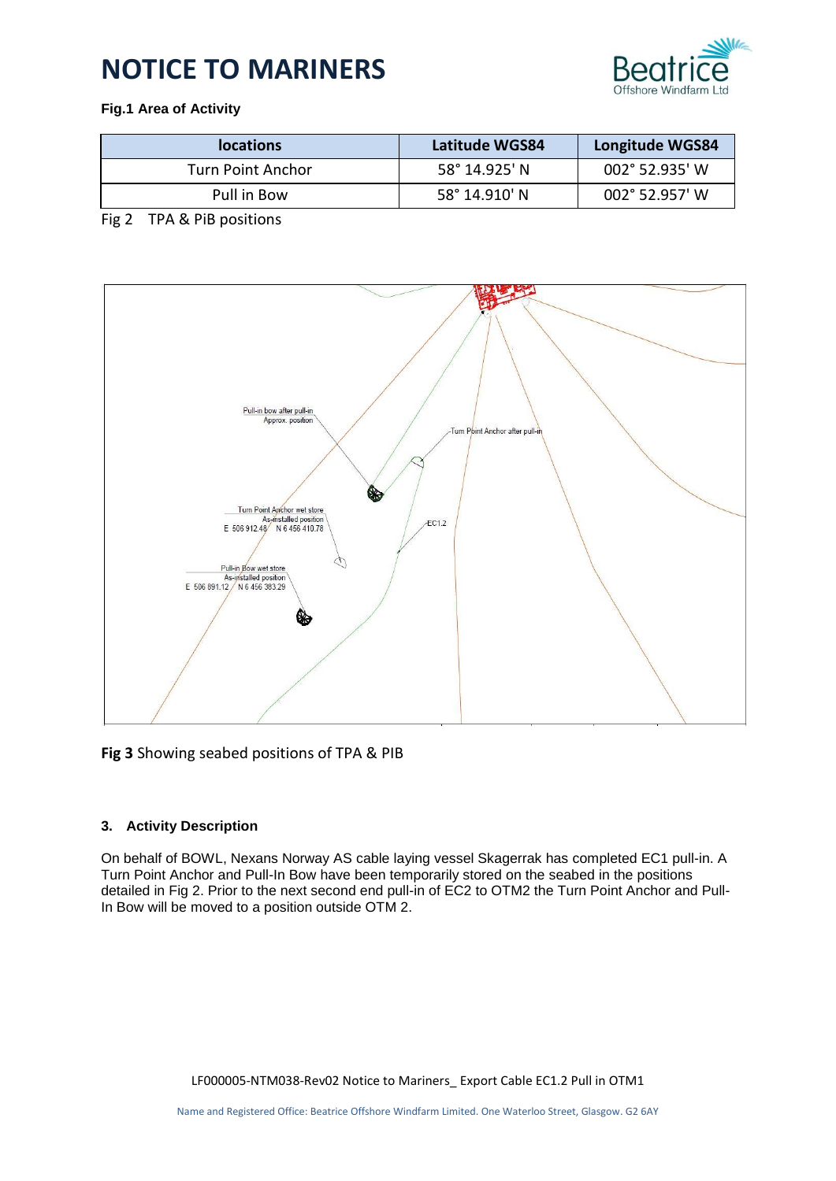# **NOTICE TO MARINERS**



# **Fig.1 Area of Activity**

| <b>locations</b>  | Latitude WGS84 | Longitude WGS84         |
|-------------------|----------------|-------------------------|
| Turn Point Anchor | 58° 14.925' N  | 002° 52.935' W          |
| Pull in Bow       | 58° 14.910' N  | $002^{\circ}$ 52.957' W |

# Fig 2 TPA & PiB positions



**Fig 3** Showing seabed positions of TPA & PIB

## **3. Activity Description**

On behalf of BOWL, Nexans Norway AS cable laying vessel Skagerrak has completed EC1 pull-in. A Turn Point Anchor and Pull-In Bow have been temporarily stored on the seabed in the positions detailed in Fig 2. Prior to the next second end pull-in of EC2 to OTM2 the Turn Point Anchor and Pull-In Bow will be moved to a position outside OTM 2.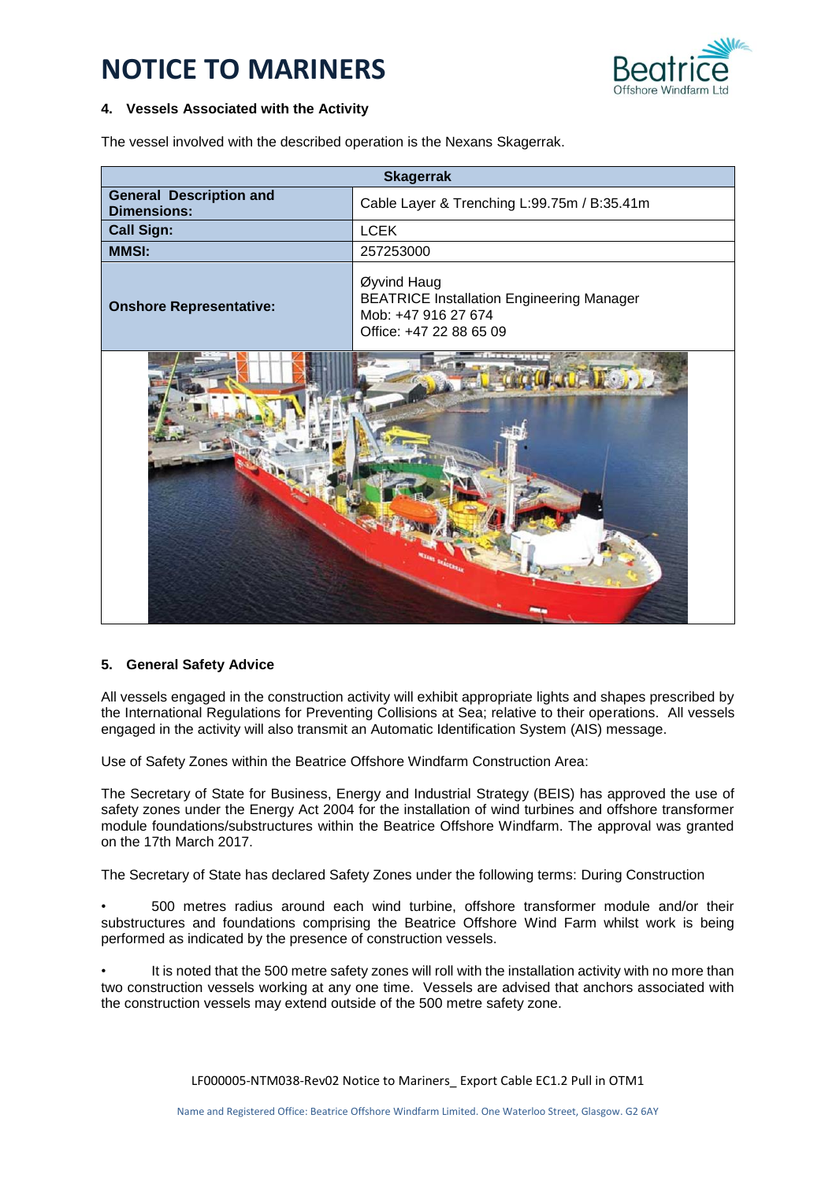# **NOTICE TO MARINERS**



### **4. Vessels Associated with the Activity**

The vessel involved with the described operation is the Nexans Skagerrak.

| <b>Skagerrak</b>                                     |                                                                                                                   |  |
|------------------------------------------------------|-------------------------------------------------------------------------------------------------------------------|--|
| <b>General Description and</b><br><b>Dimensions:</b> | Cable Layer & Trenching L:99.75m / B:35.41m                                                                       |  |
| <b>Call Sign:</b>                                    | <b>LCEK</b>                                                                                                       |  |
| <b>MMSI:</b>                                         | 257253000                                                                                                         |  |
| <b>Onshore Representative:</b>                       | Øyvind Haug<br><b>BEATRICE Installation Engineering Manager</b><br>Mob: +47 916 27 674<br>Office: +47 22 88 65 09 |  |
|                                                      |                                                                                                                   |  |

#### **5. General Safety Advice**

All vessels engaged in the construction activity will exhibit appropriate lights and shapes prescribed by the International Regulations for Preventing Collisions at Sea; relative to their operations. All vessels engaged in the activity will also transmit an Automatic Identification System (AIS) message.

Use of Safety Zones within the Beatrice Offshore Windfarm Construction Area:

The Secretary of State for Business, Energy and Industrial Strategy (BEIS) has approved the use of safety zones under the Energy Act 2004 for the installation of wind turbines and offshore transformer module foundations/substructures within the Beatrice Offshore Windfarm. The approval was granted on the 17th March 2017.

The Secretary of State has declared Safety Zones under the following terms: During Construction

• 500 metres radius around each wind turbine, offshore transformer module and/or their substructures and foundations comprising the Beatrice Offshore Wind Farm whilst work is being performed as indicated by the presence of construction vessels.

It is noted that the 500 metre safety zones will roll with the installation activity with no more than two construction vessels working at any one time. Vessels are advised that anchors associated with the construction vessels may extend outside of the 500 metre safety zone.